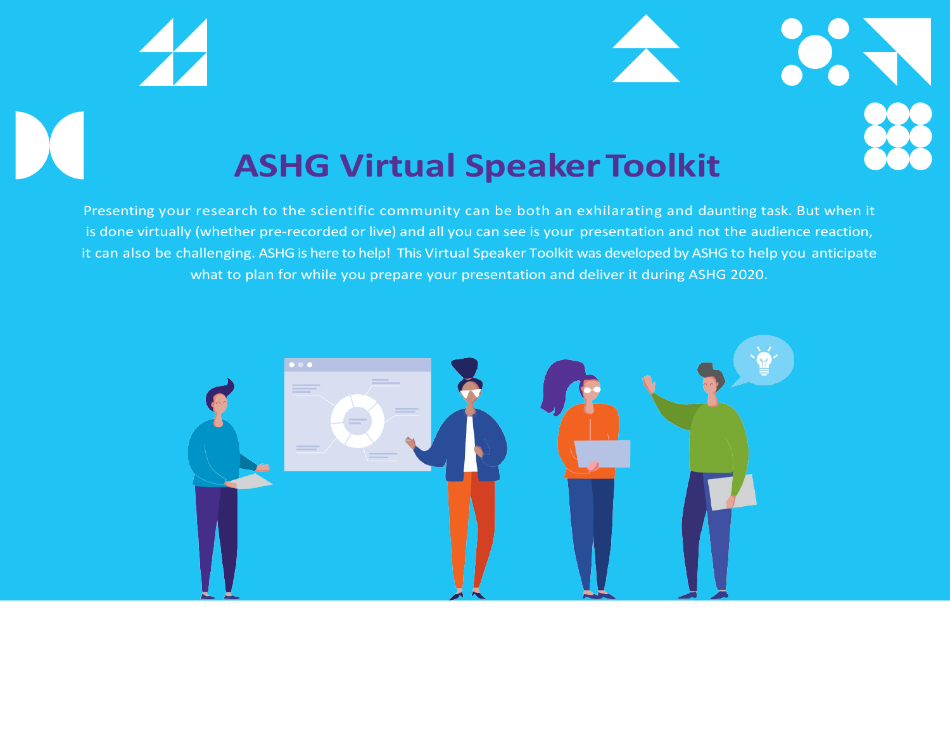

# **ASHG Virtual SpeakerToolkit**

Presenting your research to the scientific community can be both an exhilarating and daunting task. But when it is done virtually (whether pre-recorded or live) and all you can see is your presentation and not the audience reaction, it can also be challenging. ASHG is here to help! This Virtual Speaker Toolkit was developed by ASHG to help you anticipate what to plan for while you prepare your presentation and deliver it during ASHG 2020.

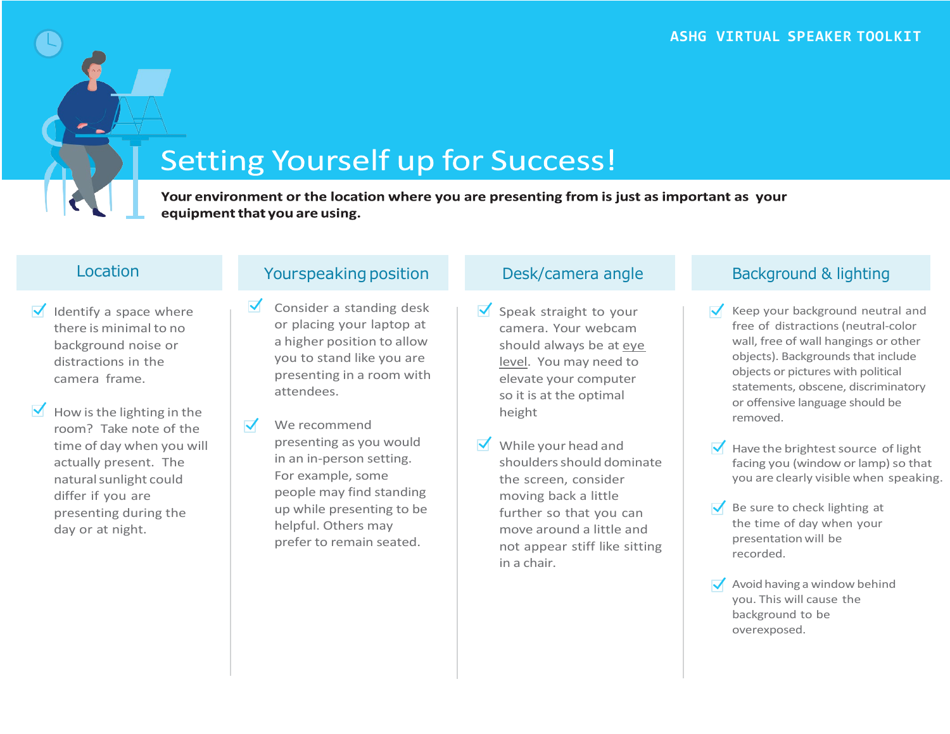## **Setting Yourself up for Success!**

Your environment or the location where you are presenting from is just as important as your equipment that you are using.

- $\sqrt{\phantom{a}}$  Identify a space where there is minimal to no background noise or distractions in the camera frame.
- $\blacksquare$  How is the lighting in the room? Take note of the time of day when you will actually present. The naturalsunlight could differ if you are presenting during the day or at night.

### Location Material Contract Pourspeaking position Desk/camera angle Background & lighting

- Consider a standing desk or placing your laptop at a higher position to allow you to stand like you are presenting in a room with attendees.
- $\blacktriangledown$ We recommend presenting as you would in an in-person setting. For example, some people may find standing up while presenting to be helpful. Others may prefer to remain seated.

- $\sqrt{\ }$  Speak straight to your camera. Your webcam should always be at eye level. You may need to elevate your computer so it is at the optimal height
- $\vee$  While your head and shouldersshould dominate the screen, consider moving back a little further so that you can move around a little and not appear stiff like sitting in a chair.

- Keep your background neutral and free of distractions (neutral-color wall, free of wall hangings or other objects). Backgrounds that include objects or pictures with political statements, obscene, discriminatory or offensive language should be removed.
- $\blacktriangleright$  Have the brightest source of light facing you (window or lamp) so that you are clearly visible when speaking.
- $\sqrt{\phantom{a}}$  Be sure to check lighting at the time of day when your presentation will be recorded.
- $\sqrt{\phantom{a}}$  Avoid having a window behind you. This will cause the background to be overexposed.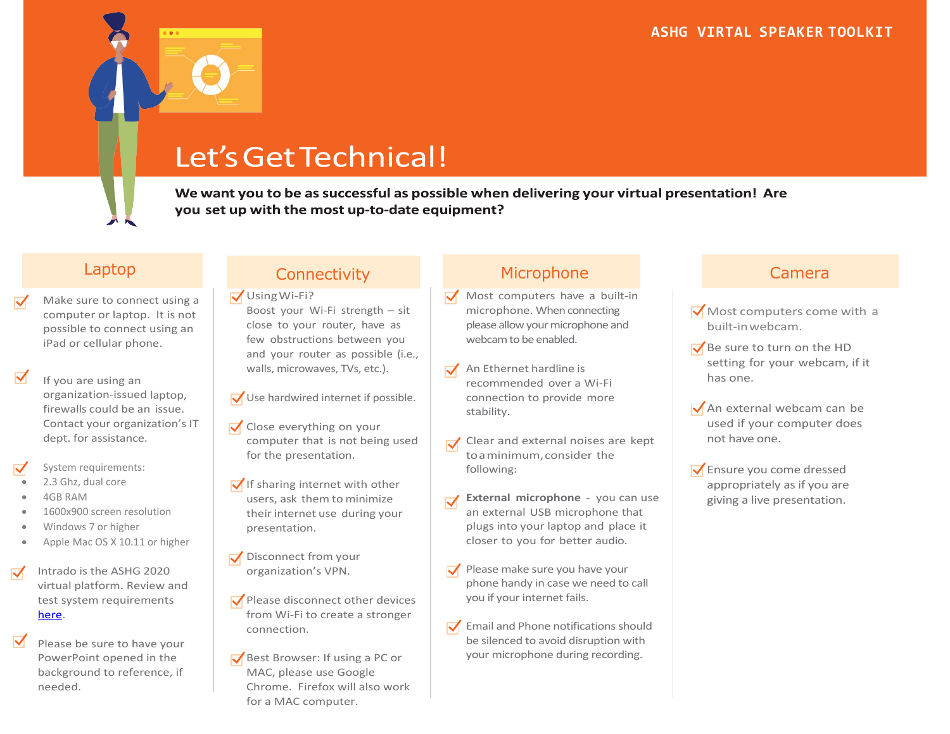### Let's Get Technical!

We want you to be as successful as possible when delivering your virtual presentation! Are you set up with the most up-to-date equipment?

- Make sure to connect using a computer or laptop. It is not possible to connect using an iPad or cellular phone.
- If you are using an organization-issued laptop, firewalls could be an issue. Contact your organization's IT dept. for assistance.
- System requirements:
- 2.3 Ghz, dual core
- 4GB RAM
- 1600x900 screen resolution
- Windows 7 or higher
- Apple Mac OS X 10.11 or higher
- Intrado is the ASHG 2020  $\blacktriangledown$ virtual platform. Review and test system requirements [here.](https://presentations.akamaized.net/ProductResources/Production/HTML/StudioSpeakerHelpGuide/StudioSpeakerHelpGuide.html)
	- Please be sure to have your PowerPoint opened in the background to reference, if needed.

Using Wi-Fi? Boost your Wi-Fi strength – sit close to your router, have as few obstructions between you and your router as possible (i.e., walls, microwaves, TVs, etc.).

- Use hardwired internet if possible.
- $\sqrt{\phantom{a}}$  Close everything on your computer that is not being used for the presentation.
- $\sqrt{}$  If sharing internet with other users, ask them to minimize their internet use during your presentation.
- Disconnect from your organization's VPN.
- $\sqrt{\ }$  Please disconnect other devices from Wi-Fi to create a stronger connection.
- $\sqrt{\phantom{a}}$  Best Browser: If using a PC or MAC, please use Google Chrome. Firefox will also work for a MAC computer.

### Laptop Connectivity Microphone Camera

- $\sqrt{\phantom{a}}$  Most computers have a built-in microphone. When connecting please allow your microphone and webcam to be enabled.
- $\sqrt{\phantom{a}}$  An Ethernet hardline is recommended over a Wi-Fi connection to provide more stability.
- Clear and external noises are kept toaminimum,consider the following:
- **External microphone** you can use  $\blacktriangledown$ an external USB microphone that plugs into your laptop and place it closer to you for better audio.
- Please make sure you have your phone handy in case we need to call you if your internet fails.
- $\sqrt{\ }$  Email and Phone notifications should be silenced to avoid disruption with your microphone during recording.

- $\sqrt{\frac{1}{100}}$  Most computers come with a built-inwebcam.
- $\sqrt{\ }$  Be sure to turn on the HD setting for your webcam, if it has one.
- $\sqrt{\phantom{a}}$  An external webcam can be used if your computer does not have one.
- $\sqrt{\ }$  Ensure you come dressed appropriately as if you are giving a live presentation.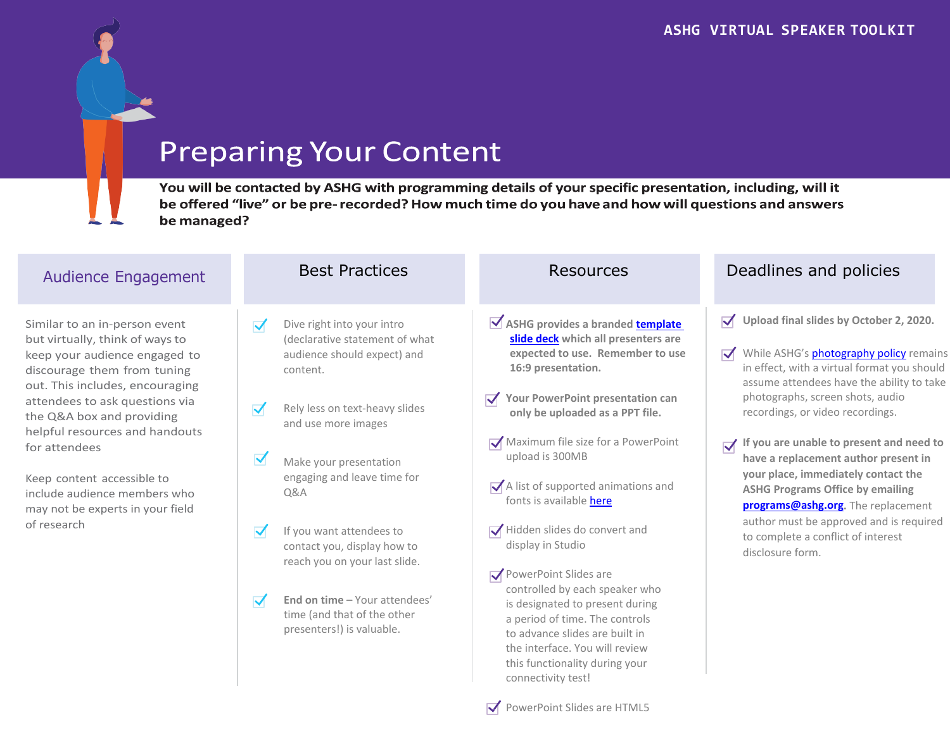## **Preparing Your Content**

You will be contacted by ASHG with programming details of your specific presentation, including, will it be offered "live" or be pre-recorded? How much time do you have and how will questions and answers be managed?

| <b>Audience Engagement</b>                                                                                                                                                                                                                                                                                                                                                                             | <b>Best Practices</b>                                                                                                                                                                                                                                                                                                                                                                                                                                        | <b>Resources</b>                                                                                                                                                                                                                                                                                                                                                                                                                                                                                                                                                                                                                                                                | Deadlines and policies                                                                                                                                                                                                                                                                                                                                                                                                                                                                                                                                                                                                                                  |
|--------------------------------------------------------------------------------------------------------------------------------------------------------------------------------------------------------------------------------------------------------------------------------------------------------------------------------------------------------------------------------------------------------|--------------------------------------------------------------------------------------------------------------------------------------------------------------------------------------------------------------------------------------------------------------------------------------------------------------------------------------------------------------------------------------------------------------------------------------------------------------|---------------------------------------------------------------------------------------------------------------------------------------------------------------------------------------------------------------------------------------------------------------------------------------------------------------------------------------------------------------------------------------------------------------------------------------------------------------------------------------------------------------------------------------------------------------------------------------------------------------------------------------------------------------------------------|---------------------------------------------------------------------------------------------------------------------------------------------------------------------------------------------------------------------------------------------------------------------------------------------------------------------------------------------------------------------------------------------------------------------------------------------------------------------------------------------------------------------------------------------------------------------------------------------------------------------------------------------------------|
| Similar to an in-person event<br>but virtually, think of ways to<br>keep your audience engaged to<br>discourage them from tuning<br>out. This includes, encouraging<br>attendees to ask questions via<br>the Q&A box and providing<br>helpful resources and handouts<br>for attendees<br>Keep content accessible to<br>include audience members who<br>may not be experts in your field<br>of research | Dive right into your intro<br>$\blacktriangledown$<br>(declarative statement of what<br>audience should expect) and<br>content.<br>Rely less on text-heavy slides<br>and use more images<br>Make your presentation<br>engaging and leave time for<br><b>Q&amp;A</b><br>If you want attendees to<br>contact you, display how to<br>reach you on your last slide.<br>End on time - Your attendees'<br>time (and that of the other<br>presenters!) is valuable. | ASHG provides a branded <b>template</b><br>slide deck which all presenters are<br>expected to use. Remember to use<br>16:9 presentation.<br>Your PowerPoint presentation can<br>only be uploaded as a PPT file.<br>Maximum file size for a PowerPoint<br>upload is 300MB<br>A list of supported animations and<br>fonts is available here<br>$\sqrt{\phantom{a}}$ Hidden slides do convert and<br>display in Studio<br>PowerPoint Slides are<br>controlled by each speaker who<br>is designated to present during<br>a period of time. The controls<br>to advance slides are built in<br>the interface. You will review<br>this functionality during your<br>connectivity test! | $\sqrt{\phantom{a}}$ Upload final slides by October 2, 2020.<br>While ASHG's <b>photography policy</b> remains<br>$\blacktriangledown$<br>in effect, with a virtual format you should<br>assume attendees have the ability to take<br>photographs, screen shots, audio<br>recordings, or video recordings.<br>$\sqrt{\phantom{a}}$ If you are unable to present and need to<br>have a replacement author present in<br>your place, immediately contact the<br><b>ASHG Programs Office by emailing</b><br><b>programs@ashg.org.</b> The replacement<br>author must be approved and is required<br>to complete a conflict of interest<br>disclosure form. |

PowerPoint Slides are HTML5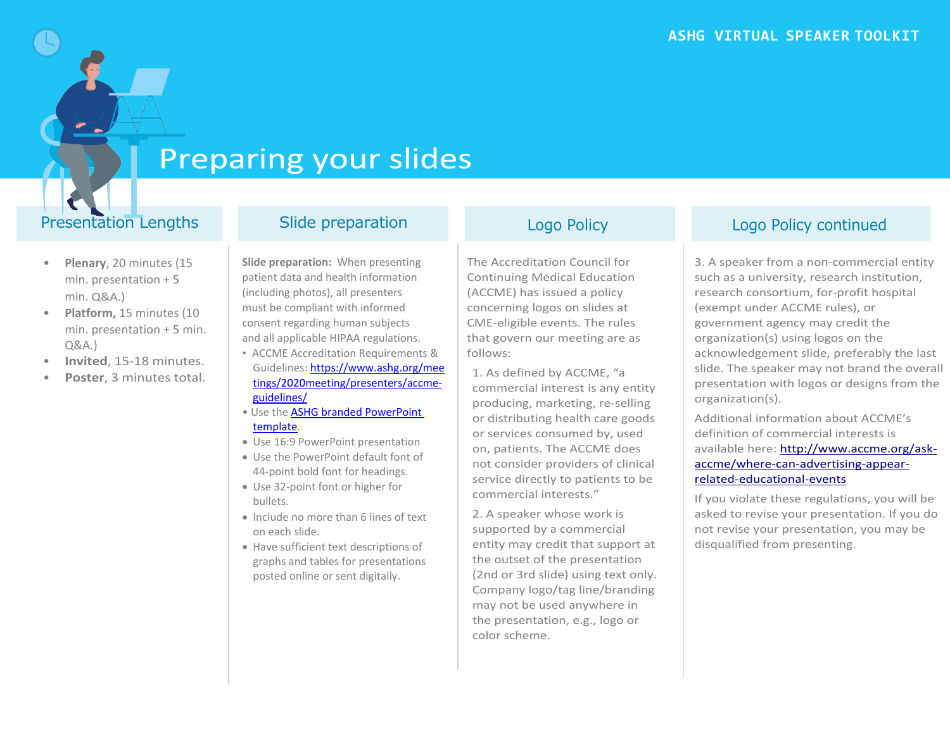### **Preparing your slides**

### Presentation Lengths Slide preparation Logo Policy Logo Policy Logo Policy continued

- **Plenary**, 20 minutes (15 min. presentation + 5 min. Q&A.)
- **Platform,** 15 minutes (10 min. presentation + 5 min. Q&A.)
- **Invited**, 15-18 minutes.
- **Poster**, 3 minutes total.

**Slide preparation:** When presenting patient data and health information (including photos), all presenters must be compliant with informed consent regarding human subjects and all applicable HIPAA regulations.

- ACCME Accreditation Requirements & Guidelines: [https://www.ashg.org/mee](https://www.ashg.org/meetings/2020meeting/presenters/accme-guidelines/) [tings/2020meeting/presenters/accme](https://www.ashg.org/meetings/2020meeting/presenters/accme-guidelines/)[guidelines/](https://www.ashg.org/meetings/2020meeting/presenters/accme-guidelines/)
- Use the [ASHG branded PowerPoint](https://www.ashg.org/wp-content/uploads/2020/09/ASHG2020-Slide-Template-and-Disclosure-Slide-1.pptx)  [template.](https://www.ashg.org/wp-content/uploads/2020/09/ASHG2020-Slide-Template-and-Disclosure-Slide-1.pptx)
- Use 16:9 PowerPoint presentation
- Use the PowerPoint default font of 44-point bold font for headings.
- Use 32-point font or higher for bullets.
- Include no more than 6 lines of text on each slide.
- Have sufficient text descriptions of graphs and tables for presentations posted online or sent digitally.

The Accreditation Council for Continuing Medical Education (ACCME) has issued a policy concerning logos on slides at CME-eligible events. The rules that govern our meeting are as follows:

1. As defined by ACCME, "a commercial interest is any entity producing, marketing, re-selling or distributing health care goods or services consumed by, used on, patients. The ACCME does not consider providers of clinical service directly to patients to be commercial interests."

2. A speaker whose work is supported by a commercial entity may credit that support at the outset of the presentation (2nd or 3rd slide) using text only. Company logo/tag line/branding may not be used anywhere in the presentation, e.g., logo or color scheme.

3. A speaker from a non-commercial entity such as a university, research institution, research consortium, for-profit hospital (exempt under ACCME rules), or government agency may credit the organization(s) using logos on the acknowledgement slide, preferably the last slide. The speaker may not brand the overall presentation with logos or designs from the organization(s).

Additional information about ACCME's definition of commercial interests is available here: [http://www.accme.org/ask](http://www.accme.org/ask-accme/where-can-advertising-appear-related-educational-events)[accme/where-can-advertising-appear](http://www.accme.org/ask-accme/where-can-advertising-appear-related-educational-events)[related-educational-events](http://www.accme.org/ask-accme/where-can-advertising-appear-related-educational-events)

If you violate these regulations, you will be asked to revise your presentation. If you do not revise your presentation, you may be disqualified from presenting.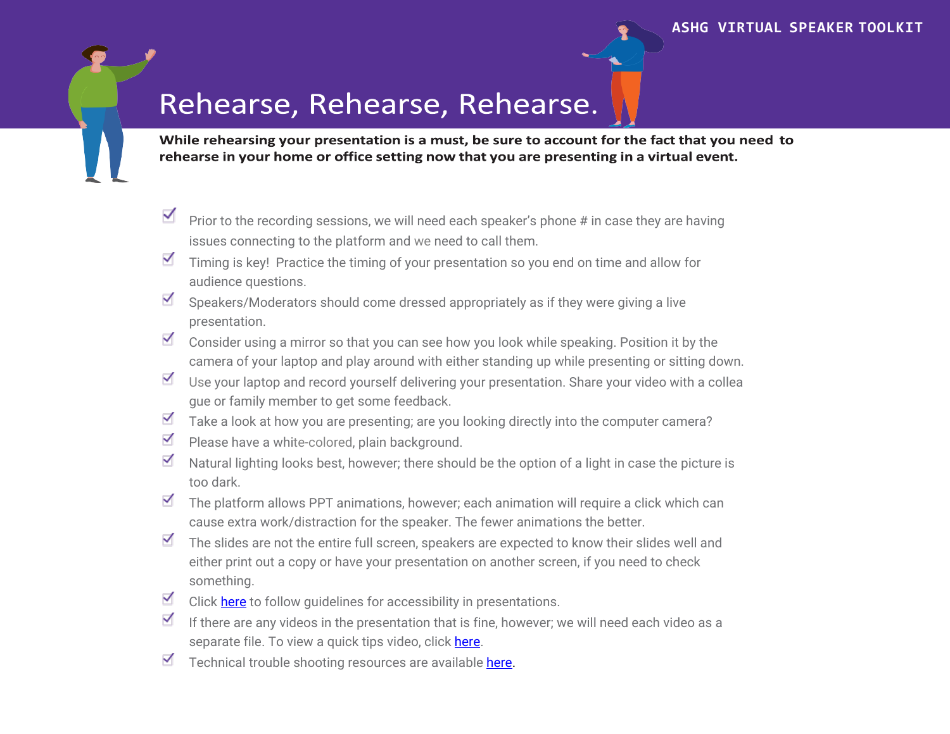## Rehearse, Rehearse, Rehearse.

While rehearsing your presentation is a must, be sure to account for the fact that you need to rehearse in your home or office setting now that you are presenting in a virtual event.

- Prior to the recording sessions, we will need each speaker's phone # in case they are having issues connecting to the platform and we need to call them.
- $\blacksquare$  Timing is key! Practice the timing of your presentation so you end on time and allow for audience questions.
- $\checkmark$ Speakers/Moderators should come dressed appropriately as if they were giving a live presentation.
- $\blacksquare$  Consider using a mirror so that you can see how you look while speaking. Position it by the camera of your laptop and play around with either standing up while presenting or sitting down.
- $\checkmark$ Use your laptop and record yourself delivering your presentation. Share your video with a collea gue or family member to get some feedback.
- $\blacksquare$  Take a look at how you are presenting; are you looking directly into the computer camera?
- ✓ Please have a white-colored, plain background.
- $\blacktriangledown$ Natural lighting looks best, however; there should be the option of a light in case the picture is too dark.
- $\checkmark$ The platform allows PPT animations, however; each animation will require a click which can cause extra work/distraction for the speaker. The fewer animations the better.
- $\blacksquare$  The slides are not the entire full screen, speakers are expected to know their slides well and either print out a copy or have your presentation on another screen, if you need to check something.
- Click [here](https://www.ashg.org/meetings/2020meeting/attendees/accessibility/) to follow guidelines for accessibility in presentations.
- $\blacktriangledown$ If there are any videos in the presentation that is fine, however; we will need each video as a separate file. To view a quick tips video, click [here.](https://inxpo.zendesk.com/hc/en-us/articles/360006897931-Speaker-and-Moderator-Quick-Tips)
- $\blacktriangledown$ Technical trouble shooting resources are available [here.](https://presentations.akamaized.net/ProductResources/Production/HTML/StudioSpeakerHelpGuide/StudioSpeakerTroubleshooting.html)